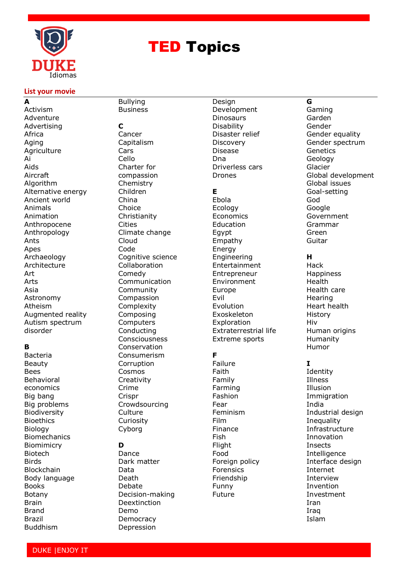

# **TED Topics**

#### **List your movie**

**A** Activism Adventure Advertising Africa Aging **Agriculture** Ai Aids Aircraft Algorithm Alternative energy Ancient world Animals Animation Anthropocene Anthropology Ants Apes Archaeology **Architecture** Art Arts Asia Astronomy Atheism Augmented reality Autism spectrum disorder

#### **B**

Bacteria Beauty Bees Behavioral economics Big bang Big problems Biodiversity Bioethics Biology Biomechanics Biomimicry Biotech **Birds** Blockchain Body language Books Botany [Brain](https://www.ted.com/topics/brain) Brand Brazil Buddhism

#### Business **C** Cancer Capitalism **Cars** Cello Charter for compassion **Chemistry** Children China Choice Christianity Cities Climate change Cloud Code Cognitive science Collaboration Comedy Communication Community Compassion Complexity Composing **Computers** Conducting Consciousness Conservation Consumerism Corruption Cosmos **Creativity** Crime Crispr Crowdsourcing **Culture** Curiosity Cyborg **D**

Bullying

Dance Dark matter Data Death Debate Decision-making Deextinction Demo **Democracy** Depression

Design Development **Dinosaurs** Disability Disaster relief **Discovery** Disease Dna Driverless cars Drones

#### **E**

Ebola Ecology Economics **Education** Egypt Empathy Energy Engineering Entertainment Entrepreneur Environment Europe Evil Evolution Exoskeleton Exploration Extraterrestrial life Extreme sports

# **F**

Failure Faith Family Farming Fashion Fear Feminism Film Finance Fish Flight Food Foreign policy Forensics Friendship Funny Future

## **G**

Gaming Garden Gender Gender equality Gender spectrum Genetics Geology Glacier Global development Global issues Goal-setting God Google Government Grammar Green Guitar

#### **H**

Hack Happiness Health Health care Hearing Heart health History Hiv [Human origins](https://www.ted.com/topics/human+origins) Humanity Humor

## **I**

Identity Illness Illusion Immigration India Industrial design **Inequality** Infrastructure Innovation Insects **Intelligence** Interface design Internet Interview Invention Investment Iran Iraq Islam